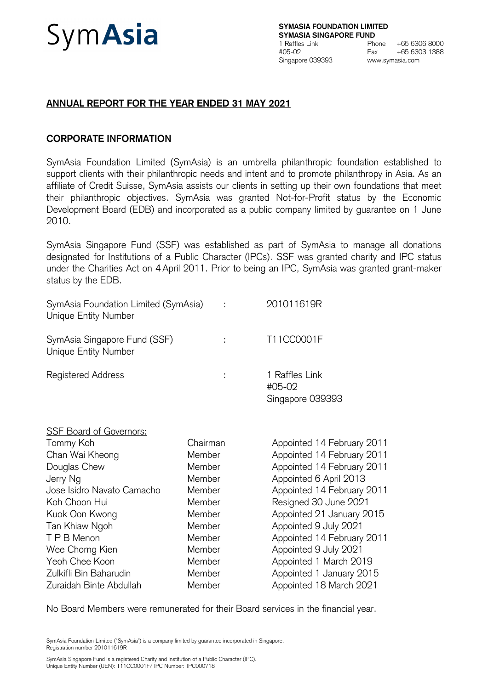# Sym**Asia**

# **ANNUAL REPORT FOR THE YEAR ENDED 31 MAY 2021**

# **CORPORATE INFORMATION**

SymAsia Foundation Limited (SymAsia) is an umbrella philanthropic foundation established to support clients with their philanthropic needs and intent and to promote philanthropy in Asia. As an affiliate of Credit Suisse, SymAsia assists our clients in setting up their own foundations that meet their philanthropic objectives. SymAsia was granted Not-for-Profit status by the Economic Development Board (EDB) and incorporated as a public company limited by guarantee on 1 June 2010.

SymAsia Singapore Fund (SSF) was established as part of SymAsia to manage all donations designated for Institutions of a Public Character (IPCs). SSF was granted charity and IPC status under the Charities Act on 4 April 2011. Prior to being an IPC, SymAsia was granted grant-maker status by the EDB.

| SymAsia Foundation Limited (SymAsia)<br>Unique Entity Number |          | 201011619R                                   |
|--------------------------------------------------------------|----------|----------------------------------------------|
| SymAsia Singapore Fund (SSF)<br>Unique Entity Number         | t        | T11CC0001F                                   |
| <b>Registered Address</b>                                    | ÷        | 1 Raffles Link<br>#05-02<br>Singapore 039393 |
| <b>SSF Board of Governors:</b>                               |          |                                              |
| Tommy Koh                                                    | Chairman | Appointed 14 February 2011                   |
| Chan Wai Kheong                                              | Member   | Appointed 14 February 2011                   |
| Douglas Chew                                                 | Member   | Appointed 14 February 2011                   |
| Jerry Ng                                                     | Member   | Appointed 6 April 2013                       |
| Jose Isidro Navato Camacho                                   | Member   | Appointed 14 February 2011                   |
| Koh Choon Hui                                                | Member   | Resigned 30 June 2021                        |
| Kuok Oon Kwong                                               | Member   | Appointed 21 January 2015                    |
| Tan Khiaw Ngoh                                               | Member   | Appointed 9 July 2021                        |
| T P B Menon                                                  | Member   | Appointed 14 February 2011                   |
| Wee Chorng Kien                                              | Member   | Appointed 9 July 2021                        |
| Yeoh Chee Koon                                               | Member   | Appointed 1 March 2019                       |
| Zulkifli Bin Baharudin                                       | Member   | Appointed 1 January 2015                     |
| Zuraidah Binte Abdullah                                      | Member   | Appointed 18 March 2021                      |

No Board Members were remunerated for their Board services in the financial year.

SymAsia Foundation Limited ("SymAsia") is a company limited by guarantee incorporated in Singapore. Registration number 201011619R

SymAsia Singapore Fund is a registered Charity and Institution of a Public Character (IPC). Unique Entity Number (UEN): T11CC0001F/ IPC Number: IPC000718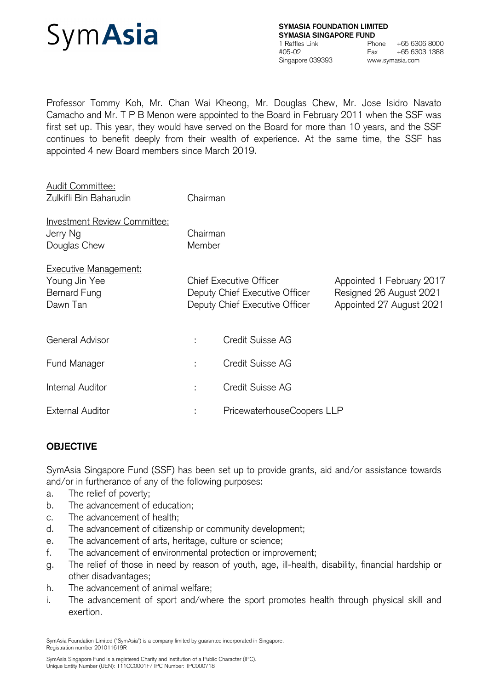

Professor Tommy Koh, Mr. Chan Wai Kheong, Mr. Douglas Chew, Mr. Jose Isidro Navato Camacho and Mr. T P B Menon were appointed to the Board in February 2011 when the SSF was first set up. This year, they would have served on the Board for more than 10 years, and the SSF continues to benefit deeply from their wealth of experience. At the same time, the SSF has appointed 4 new Board members since March 2019.

| <b>Audit Committee:</b><br>Zulkifli Bin Baharudin                         | Chairman           |                                                                                                    |                                                                                  |
|---------------------------------------------------------------------------|--------------------|----------------------------------------------------------------------------------------------------|----------------------------------------------------------------------------------|
| Investment Review Committee:<br>Jerry Ng<br>Douglas Chew                  | Chairman<br>Member |                                                                                                    |                                                                                  |
| <b>Executive Management:</b><br>Young Jin Yee<br>Bernard Fung<br>Dawn Tan |                    | <b>Chief Executive Officer</b><br>Deputy Chief Executive Officer<br>Deputy Chief Executive Officer | Appointed 1 February 2017<br>Resigned 26 August 2021<br>Appointed 27 August 2021 |
| General Advisor                                                           |                    | Credit Suisse AG                                                                                   |                                                                                  |
| Fund Manager                                                              | ÷                  | Credit Suisse AG                                                                                   |                                                                                  |
| Internal Auditor                                                          | ÷                  | Credit Suisse AG                                                                                   |                                                                                  |
| <b>External Auditor</b>                                                   | ÷                  | PricewaterhouseCoopers LLP                                                                         |                                                                                  |

# **OBJECTIVE**

SymAsia Singapore Fund (SSF) has been set up to provide grants, aid and/or assistance towards and/or in furtherance of any of the following purposes:

- a. The relief of poverty;
- b. The advancement of education;
- c. The advancement of health;
- d. The advancement of citizenship or community development;
- e. The advancement of arts, heritage, culture or science;
- f. The advancement of environmental protection or improvement;
- g. The relief of those in need by reason of youth, age, ill-health, disability, financial hardship or other disadvantages;
- h. The advancement of animal welfare;
- i. The advancement of sport and/where the sport promotes health through physical skill and exertion.

SymAsia Foundation Limited ("SymAsia") is a company limited by guarantee incorporated in Singapore. Registration number 201011619R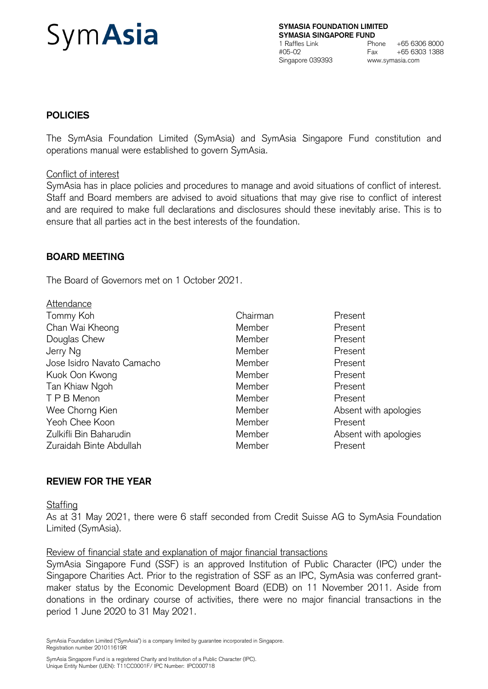# Sym**Asia**

**SYMASIA FOUNDATION LIMITED SYMASIA SINGAPORE FUND** 1 Raffles Link Phone +65 6306 8000<br>
#05-02 Fax +65 6303 1388 #05-02 Fax +65 6303 1388 Singapore 039393 www.symasia.com

# **POLICIES**

The SymAsia Foundation Limited (SymAsia) and SymAsia Singapore Fund constitution and operations manual were established to govern SymAsia.

#### Conflict of interest

SymAsia has in place policies and procedures to manage and avoid situations of conflict of interest. Staff and Board members are advised to avoid situations that may give rise to conflict of interest and are required to make full declarations and disclosures should these inevitably arise. This is to ensure that all parties act in the best interests of the foundation.

### **BOARD MEETING**

The Board of Governors met on 1 October 2021.

| Attendance                 |          |                       |
|----------------------------|----------|-----------------------|
| Tommy Koh                  | Chairman | Present               |
| Chan Wai Kheong            | Member   | Present               |
| Douglas Chew               | Member   | Present               |
| Jerry Ng                   | Member   | Present               |
| Jose Isidro Navato Camacho | Member   | Present               |
| Kuok Oon Kwong             | Member   | Present               |
| Tan Khiaw Ngoh             | Member   | Present               |
| T P B Menon                | Member   | Present               |
| Wee Chorng Kien            | Member   | Absent with apologies |
| Yeoh Chee Koon             | Member   | Present               |
| Zulkifli Bin Baharudin     | Member   | Absent with apologies |
| Zuraidah Binte Abdullah    | Member   | Present               |

### **REVIEW FOR THE YEAR**

### **Staffing**

As at 31 May 2021, there were 6 staff seconded from Credit Suisse AG to SymAsia Foundation Limited (SymAsia).

#### Review of financial state and explanation of major financial transactions

SymAsia Singapore Fund (SSF) is an approved Institution of Public Character (IPC) under the Singapore Charities Act. Prior to the registration of SSF as an IPC, SymAsia was conferred grantmaker status by the Economic Development Board (EDB) on 11 November 2011. Aside from donations in the ordinary course of activities, there were no major financial transactions in the period 1 June 2020 to 31 May 2021.

SymAsia Foundation Limited ("SymAsia") is a company limited by guarantee incorporated in Singapore. Registration number 201011619R